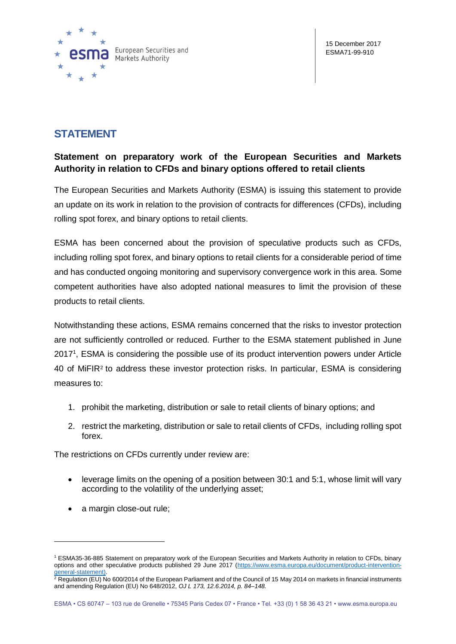

## **STATEMENT**

## **Statement on preparatory work of the European Securities and Markets Authority in relation to CFDs and binary options offered to retail clients**

The European Securities and Markets Authority (ESMA) is issuing this statement to provide an update on its work in relation to the provision of contracts for differences (CFDs), including rolling spot forex, and binary options to retail clients.

ESMA has been concerned about the provision of speculative products such as CFDs, including rolling spot forex, and binary options to retail clients for a considerable period of time and has conducted ongoing monitoring and supervisory convergence work in this area. Some competent authorities have also adopted national measures to limit the provision of these products to retail clients.

Notwithstanding these actions, ESMA remains concerned that the risks to investor protection are not sufficiently controlled or reduced. Further to the ESMA statement published in June 2017<sup>1</sup>, ESMA is considering the possible use of its product intervention powers under Article 40 of MiFIR<sup>2</sup> to address these investor protection risks. In particular, ESMA is considering measures to:

- 1. prohibit the marketing, distribution or sale to retail clients of binary options; and
- 2. restrict the marketing, distribution or sale to retail clients of CFDs, including rolling spot forex.

The restrictions on CFDs currently under review are:

- leverage limits on the opening of a position between 30:1 and 5:1, whose limit will vary according to the volatility of the underlying asset;
- a margin close-out rule;

1

<sup>1</sup> ESMA35-36-885 Statement on preparatory work of the European Securities and Markets Authority in relation to CFDs, binary options and other speculative products published 29 June 2017 [\(https://www.esma.europa.eu/document/product-intervention](https://www.esma.europa.eu/document/product-intervention-general-statement)[general-statement\)](https://www.esma.europa.eu/document/product-intervention-general-statement).

 $^2$  Regulation (EU) No 600/2014 of the European Parliament and of the Council of 15 May 2014 on markets in financial instruments and amending Regulation (EU) No 648/2012, *OJ L 173, 12.6.2014, p. 84–148.*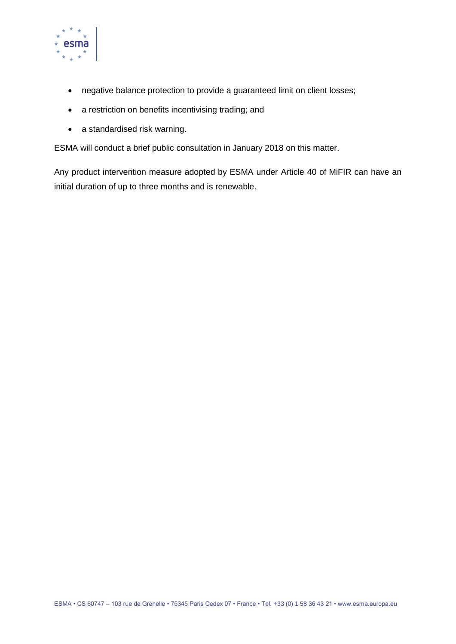

- negative balance protection to provide a guaranteed limit on client losses;
- a restriction on benefits incentivising trading; and
- a standardised risk warning.

ESMA will conduct a brief public consultation in January 2018 on this matter.

Any product intervention measure adopted by ESMA under Article 40 of MiFIR can have an initial duration of up to three months and is renewable.